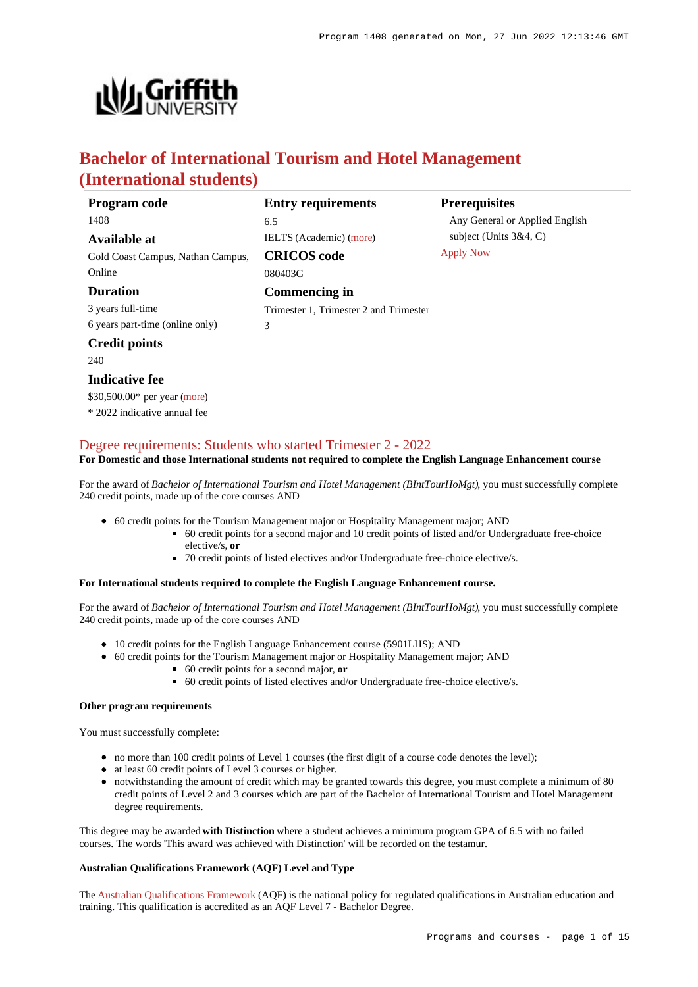**English** 



# **Bachelor of International Tourism and Hotel Management (International students)**

| Program code                      | <b>Entry requirements</b>              | <b>Prerequisites</b>      |
|-----------------------------------|----------------------------------------|---------------------------|
| 1408                              | 6.5                                    | Any General or Applied    |
| Available at                      | <b>IELTS</b> (Academic) (more)         | subject (Units $3&4$ , C) |
| Gold Coast Campus, Nathan Campus, | <b>CRICOS</b> code                     | <b>Apply Now</b>          |
| Online                            | 080403G                                |                           |
| <b>Duration</b>                   | Commencing in                          |                           |
| 3 years full-time                 | Trimester 1, Trimester 2 and Trimester |                           |
| 6 years part-time (online only)   | 3                                      |                           |
| <b>Credit points</b>              |                                        |                           |
| 240                               |                                        |                           |
| <b>Indicative fee</b>             |                                        |                           |

\$30,500.00\* per year [\(more](https://www148.griffith.edu.au/programs-courses/Program/1408/Overview/International#fees)) \* 2022 indicative annual fee

### [Degree requirements: Students who started Trimester 2 - 2022](https://www148.griffith.edu.au/programs-courses/Program/1408/Courses/International#degree-requirements)

#### **For Domestic and those International students not required to complete the English Language Enhancement course**

For the award of *Bachelor of International Tourism and Hotel Management (BIntTourHoMgt)*, you must successfully complete 240 credit points, made up of the core courses AND

- 60 credit points for the Tourism Management major or Hospitality Management major; AND
	- 60 credit points for a second major and 10 credit points of listed and/or Undergraduate free-choice elective/s, **or**
	- 70 credit points of listed electives and/or Undergraduate free-choice elective/s.

#### **For International students required to complete the English Language Enhancement course.**

For the award of *Bachelor of International Tourism and Hotel Management (BIntTourHoMgt)*, you must successfully complete 240 credit points, made up of the core courses AND

- 10 credit points for the English Language Enhancement course (5901LHS); AND
- 60 credit points for the Tourism Management major or Hospitality Management major; AND
	- 60 credit points for a second major, **or**
	- 60 credit points of listed electives and/or Undergraduate free-choice elective/s.

#### **Other program requirements**

You must successfully complete:

- no more than 100 credit points of Level 1 courses (the first digit of a course code denotes the level);
- at least 60 credit points of Level 3 courses or higher.
- notwithstanding the amount of credit which may be granted towards this degree, you must complete a minimum of 80 credit points of Level 2 and 3 courses which are part of the Bachelor of International Tourism and Hotel Management degree requirements.

This degree may be awarded **with Distinction** where a student achieves a minimum program GPA of 6.5 with no failed courses. The words 'This award was achieved with Distinction' will be recorded on the testamur.

#### **Australian Qualifications Framework (AQF) Level and Type**

The [Australian Qualifications Framework](http://www.aqf.edu.au/) (AQF) is the national policy for regulated qualifications in Australian education and training. This qualification is accredited as an AQF Level 7 - Bachelor Degree.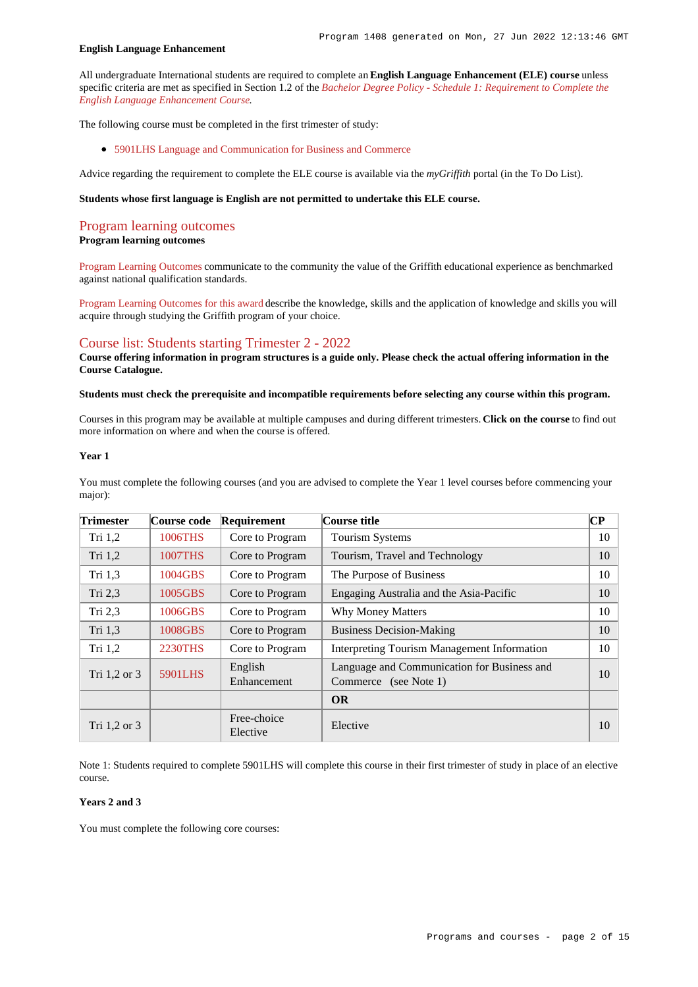#### **English Language Enhancement**

All undergraduate International students are required to complete an **English Language Enhancement (ELE) course** unless specific criteria are met as specified in Section 1.2 of the *[Bachelor Degree Policy - Schedule 1: Requirement to Complete the](http://policies.griffith.edu.au/pdf/Bachelor Degree Policy Schedule 1.pdf) [English Language Enhancement Course](http://policies.griffith.edu.au/pdf/Bachelor Degree Policy Schedule 1.pdf)*.

The following course must be completed in the first trimester of study:

[5901LHS Language and Communication for Business and Commerce](https://www148.griffith.edu.au/Course/5901LHS)

Advice regarding the requirement to complete the ELE course is available via the *myGriffith* portal (in the To Do List).

## **Students whose first language is English are not permitted to undertake this ELE course.**

### [Program learning outcomes](https://www148.griffith.edu.au/programs-courses/Program/1408/Courses/International#programLearningOutcomes) **Program learning outcomes**

[Program Learning Outcomes](https://www.griffith.edu.au/__data/assets/pdf_file/0017/134522/PLO-general-advice.pdf) communicate to the community the value of the Griffith educational experience as benchmarked against national qualification standards.

[Program Learning Outcomes for this award](https://www.griffith.edu.au/__data/assets/pdf_file/0025/295513/BIntnternational-Tourism-Hotel-Mgt-PLO-L7.pdf) describe the knowledge, skills and the application of knowledge and skills you will acquire through studying the Griffith program of your choice.

### [Course list: Students starting Trimester 2 - 2022](https://www148.griffith.edu.au/programs-courses/Program/1408/Courses/International#course-list-content)

**Course offering information in program structures is a guide only. Please check the actual offering information in the Course Catalogue.**

**Students must check the prerequisite and incompatible requirements before selecting any course within this program.**

Courses in this program may be available at multiple campuses and during different trimesters. **Click on the course** to find out more information on where and when the course is offered.

#### **Year 1**

You must complete the following courses (and you are advised to complete the Year 1 level courses before commencing your major):

| <b>Trimester</b> | Course code    | Requirement             | Course title                                                         | $\overline{\mathbf{CP}}$ |
|------------------|----------------|-------------------------|----------------------------------------------------------------------|--------------------------|
| Tri $1,2$        | 1006THS        | Core to Program         | <b>Tourism Systems</b>                                               | 10                       |
| Tri $1,2$        | <b>1007THS</b> | Core to Program         | Tourism, Travel and Technology                                       | 10                       |
| Tri $1,3$        | 1004GBS        | Core to Program         | The Purpose of Business                                              | 10                       |
| Tri 2,3          | 1005GBS        | Core to Program         | Engaging Australia and the Asia-Pacific                              | 10                       |
| Tri 2,3          | 1006GBS        | Core to Program         | <b>Why Money Matters</b>                                             | 10                       |
| Tri 1,3          | 1008GBS        | Core to Program         | <b>Business Decision-Making</b>                                      | 10                       |
| Tri 1,2          | <b>2230THS</b> | Core to Program         | Interpreting Tourism Management Information                          | 10                       |
| Tri 1,2 or 3     | 5901LHS        | English<br>Enhancement  | Language and Communication for Business and<br>Commerce (see Note 1) | 10                       |
|                  |                |                         | <b>OR</b>                                                            |                          |
| Tri $1,2$ or $3$ |                | Free-choice<br>Elective | Elective                                                             | 10                       |

Note 1: Students required to complete 5901LHS will complete this course in their first trimester of study in place of an elective course.

### **Years 2 and 3**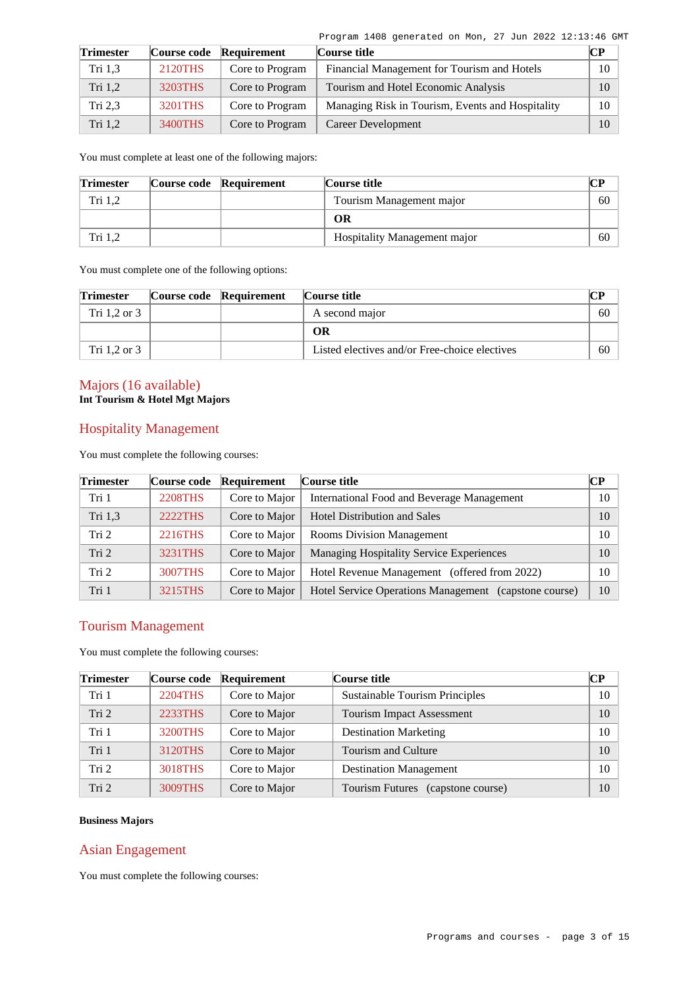| <b>Trimester</b> |         | Course code Requirement | Course title                                     | CР |
|------------------|---------|-------------------------|--------------------------------------------------|----|
| Tri 1.3          | 2120THS | Core to Program         | Financial Management for Tourism and Hotels      | 10 |
| Tri $1,2$        | 3203THS | Core to Program         | Tourism and Hotel Economic Analysis              | 10 |
| Tri $2.3$        | 3201THS | Core to Program         | Managing Risk in Tourism, Events and Hospitality | 10 |
| Tri 1,2          | 3400THS | Core to Program         | Career Development                               | 10 |

You must complete at least one of the following majors:

| <b>Trimester</b> | Course code Requirement | Course title                 |    |
|------------------|-------------------------|------------------------------|----|
| Tri 1,2          |                         | Tourism Management major     | 60 |
|                  |                         | OR                           |    |
| Tri 1.2          |                         | Hospitality Management major | 60 |

You must complete one of the following options:

| <b>Trimester</b> | Course code Requirement | Course title                                  |    |
|------------------|-------------------------|-----------------------------------------------|----|
| Tri 1.2 or 3     |                         | A second major                                | 60 |
|                  |                         | OR                                            |    |
| Tri 1.2 or 3     |                         | Listed electives and/or Free-choice electives | 60 |

### Majors (16 available) **Int Tourism & Hotel Mgt Majors**

## Hospitality Management

You must complete the following courses:

| <b>Trimester</b> | Course code    | Requirement   | Course title                                          | <b>CP</b> |
|------------------|----------------|---------------|-------------------------------------------------------|-----------|
| Tri 1            | <b>2208THS</b> | Core to Major | International Food and Beverage Management            | 10        |
| Tri 1,3          | 2222THS        | Core to Major | <b>Hotel Distribution and Sales</b>                   | 10        |
| Tri 2            | 2216THS        | Core to Major | <b>Rooms Division Management</b>                      | 10        |
| Tri <sub>2</sub> | 3231THS        | Core to Major | Managing Hospitality Service Experiences              | 10        |
| Tri <sub>2</sub> | 3007THS        | Core to Major | Hotel Revenue Management (offered from 2022)          | 10        |
| Tri 1            | 3215THS        | Core to Major | Hotel Service Operations Management (capstone course) | 10        |

## Tourism Management

You must complete the following courses:

| <b>Trimester</b> | Course code | Requirement   | Course title                          | $\mathbf{C}\mathbf{P}$ |
|------------------|-------------|---------------|---------------------------------------|------------------------|
| Tri 1            | 2204THS     | Core to Major | <b>Sustainable Tourism Principles</b> | 10                     |
| Tri <sub>2</sub> | 2233THS     | Core to Major | <b>Tourism Impact Assessment</b>      | 10                     |
| Tri 1            | 3200THS     | Core to Major | <b>Destination Marketing</b>          | 10                     |
| Tri 1            | 3120THS     | Core to Major | Tourism and Culture                   | 10                     |
| Tri 2            | 3018THS     | Core to Major | <b>Destination Management</b>         | 10                     |
| Tri <sub>2</sub> | 3009THS     | Core to Major | Tourism Futures (capstone course)     | 10                     |

### **Business Majors**

### Asian Engagement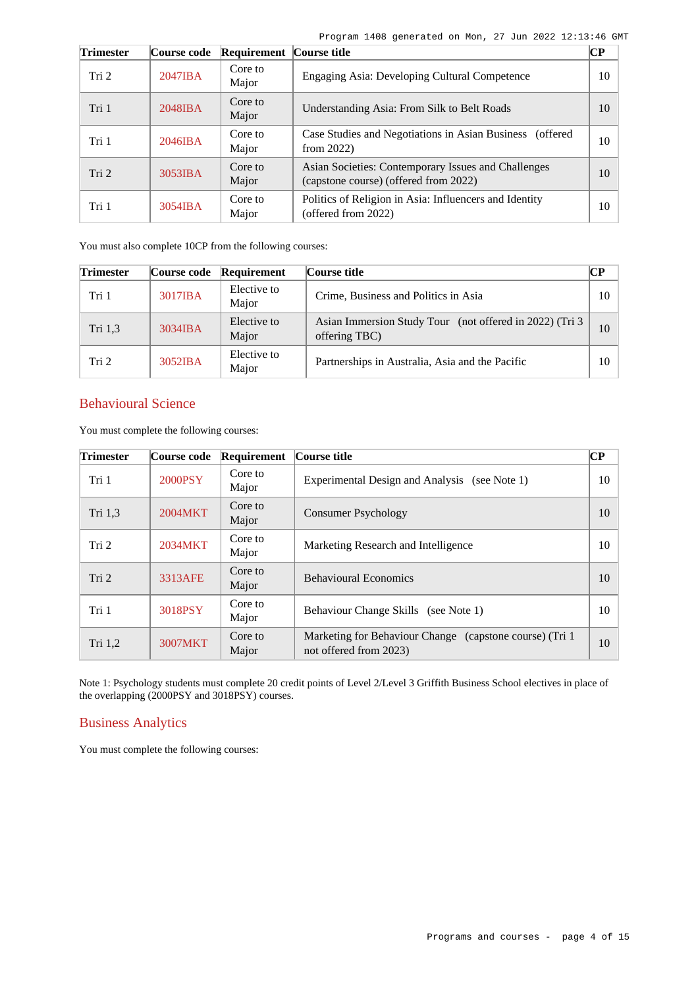Program 1408 generated on Mon, 27 Jun 2022 12:13:46 GMT

| <b>Trimester</b> | Course code       | Requirement Course title |                                                                                              | CР |
|------------------|-------------------|--------------------------|----------------------------------------------------------------------------------------------|----|
| Tri 2            | $2047$ <b>IBA</b> | Core to<br>Major         | Engaging Asia: Developing Cultural Competence                                                | 10 |
| Tri 1            | $2048$ IBA        | Core to<br>Major         | Understanding Asia: From Silk to Belt Roads                                                  | 10 |
| Tri 1            | $2046$ IBA        | Core to<br>Major         | Case Studies and Negotiations in Asian Business (offered<br>from $2022$ )                    | 10 |
| Tri 2            | 3053IBA           | Core to<br>Major         | Asian Societies: Contemporary Issues and Challenges<br>(capstone course) (offered from 2022) | 10 |
| Tri 1            | $3054$ IBA        | Core to<br>Major         | Politics of Religion in Asia: Influencers and Identity<br>(offered from 2022)                | 10 |

You must also complete 10CP from the following courses:

| <b>Trimester</b> | Course code | Requirement          | Course title                                                              | CР |
|------------------|-------------|----------------------|---------------------------------------------------------------------------|----|
| Tri 1            | 3017IBA     | Elective to<br>Major | Crime, Business and Politics in Asia                                      | 10 |
| Tri 1.3          | 3034IBA     | Elective to<br>Major | Asian Immersion Study Tour (not offered in 2022) (Tri 3)<br>offering TBC) | 10 |
| Tri <sub>2</sub> | $3052$ IBA  | Elective to<br>Major | Partnerships in Australia, Asia and the Pacific                           | 10 |

## Behavioural Science

You must complete the following courses:

| <b>Trimester</b> | Course code | Requirement      | Course title                                                                       | $\overline{\mathbf{CP}}$ |
|------------------|-------------|------------------|------------------------------------------------------------------------------------|--------------------------|
| Tri 1            | 2000PSY     | Core to<br>Major | Experimental Design and Analysis<br>(see Note 1)                                   | 10                       |
| Tri 1,3          | 2004MKT     | Core to<br>Major | <b>Consumer Psychology</b>                                                         | 10                       |
| Tri 2            | 2034MKT     | Core to<br>Major | Marketing Research and Intelligence                                                | 10                       |
| Tri 2            | 3313AFE     | Core to<br>Major | <b>Behavioural Economics</b>                                                       | 10                       |
| Tri 1            | 3018PSY     | Core to<br>Major | Behaviour Change Skills (see Note 1)                                               | 10                       |
| Tri 1,2          | 3007MKT     | Core to<br>Major | Marketing for Behaviour Change (capstone course) (Tri 1)<br>not offered from 2023) | 10                       |

Note 1: Psychology students must complete 20 credit points of Level 2/Level 3 Griffith Business School electives in place of the overlapping (2000PSY and 3018PSY) courses.

## Business Analytics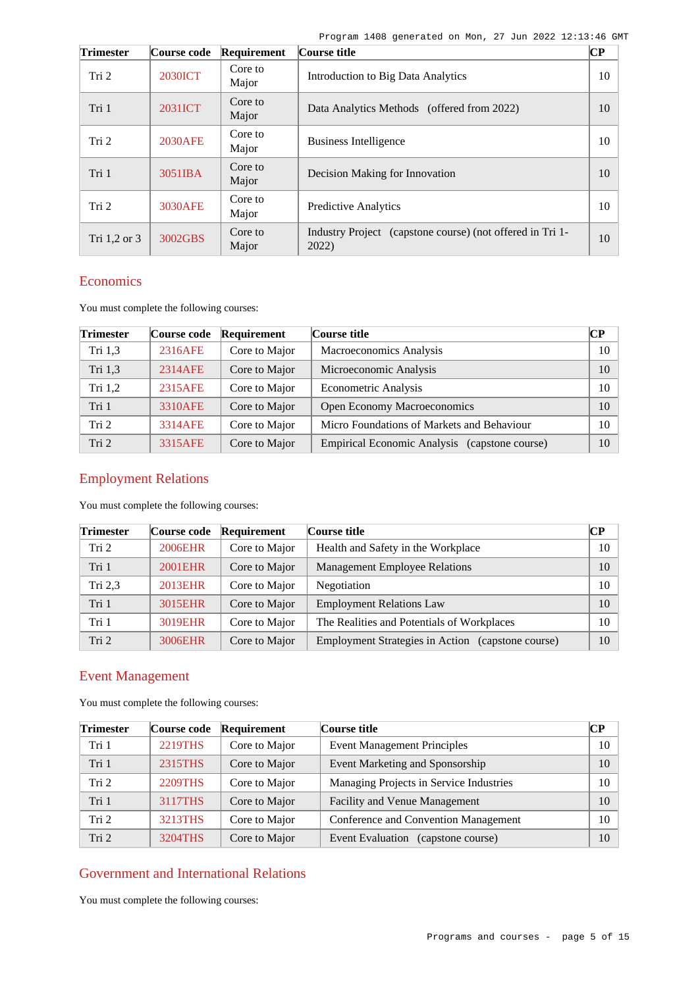| <b>Trimester</b> | Course code    | Requirement      | Course title                                                       | CР |
|------------------|----------------|------------------|--------------------------------------------------------------------|----|
| Tri 2            | <b>2030ICT</b> | Core to<br>Major | Introduction to Big Data Analytics                                 | 10 |
| Tri 1            | 2031ICT        | Core to<br>Major | Data Analytics Methods (offered from 2022)                         | 10 |
| Tri 2            | 2030AFE        | Core to<br>Major | <b>Business Intelligence</b>                                       | 10 |
| Tri 1            | 3051IBA        | Core to<br>Major | Decision Making for Innovation                                     | 10 |
| Tri 2            | 3030AFE        | Core to<br>Major | <b>Predictive Analytics</b>                                        | 10 |
| Tri $1,2$ or $3$ | 3002GBS        | Core to<br>Major | Industry Project (capstone course) (not offered in Tri 1-<br>2022) | 10 |

## **Economics**

You must complete the following courses:

| <b>Trimester</b> | Course code | Requirement   | Course title                                  | CР |
|------------------|-------------|---------------|-----------------------------------------------|----|
| Tri 1,3          | 2316AFE     | Core to Major | Macroeconomics Analysis                       | 10 |
| Tri 1,3          | 2314AFE     | Core to Major | Microeconomic Analysis                        | 10 |
| Tri $1,2$        | 2315AFE     | Core to Major | Econometric Analysis                          | 10 |
| Tri 1            | 3310AFE     | Core to Major | Open Economy Macroeconomics                   | 10 |
| Tri 2            | 3314AFE     | Core to Major | Micro Foundations of Markets and Behaviour    | 10 |
| Tri 2            | 3315AFE     | Core to Major | Empirical Economic Analysis (capstone course) | 10 |

## Employment Relations

You must complete the following courses:

| <b>Trimester</b> | Course code | Requirement   | Course title                                      |    |
|------------------|-------------|---------------|---------------------------------------------------|----|
| Tri 2            | 2006EHR     | Core to Major | Health and Safety in the Workplace                | 10 |
| Tri 1            | 2001EHR     | Core to Major | <b>Management Employee Relations</b>              | 10 |
| Tri $2,3$        | 2013EHR     | Core to Major | Negotiation                                       | 10 |
| Tri 1            | 3015EHR     | Core to Major | <b>Employment Relations Law</b>                   | 10 |
| Tri 1            | 3019EHR     | Core to Major | The Realities and Potentials of Workplaces        | 10 |
| Tri 2            | 3006EHR     | Core to Major | Employment Strategies in Action (capstone course) | 10 |

## Event Management

You must complete the following courses:

| <b>Trimester</b> | Course code | Requirement   | Course title                                 | CР |
|------------------|-------------|---------------|----------------------------------------------|----|
| Tri 1            | 2219THS     | Core to Major | <b>Event Management Principles</b>           | 10 |
| Tri 1            | 2315THS     | Core to Major | Event Marketing and Sponsorship              | 10 |
| Tri 2            | 2209THS     | Core to Major | Managing Projects in Service Industries      | 10 |
| Tri 1            | 3117THS     | Core to Major | Facility and Venue Management                | 10 |
| Tri 2            | 3213THS     | Core to Major | Conference and Convention Management         | 10 |
| Tri <sub>2</sub> | 3204THS     | Core to Major | <b>Event Evaluation</b><br>(capstone course) | 10 |

### Government and International Relations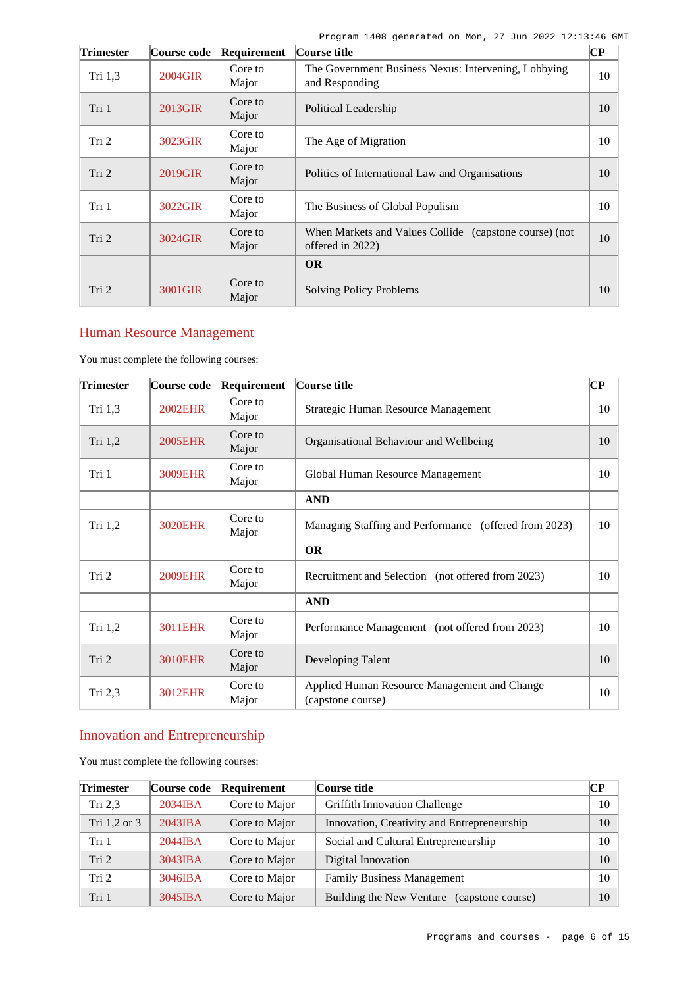| <b>Trimester</b> | Course code | Requirement      | Course title                                                               | $\overline{\mathbf{CP}}$ |
|------------------|-------------|------------------|----------------------------------------------------------------------------|--------------------------|
| Tri 1,3          | 2004GIR     | Core to<br>Major | The Government Business Nexus: Intervening, Lobbying<br>and Responding     | 10                       |
| Tri 1            | 2013GIR     | Core to<br>Major | Political Leadership                                                       |                          |
| Tri 2            | 3023GIR     | Core to<br>Major | The Age of Migration                                                       | 10                       |
| Tri 2            | 2019GIR     | Core to<br>Major | Politics of International Law and Organisations                            | 10                       |
| Tri 1            | 3022GIR     | Core to<br>Major | The Business of Global Populism                                            | 10                       |
| Tri 2            | 3024GIR     | Core to<br>Major | When Markets and Values Collide (capstone course) (not<br>offered in 2022) | 10                       |
|                  |             |                  | <b>OR</b>                                                                  |                          |
| Tri <sub>2</sub> | 3001GIR     | Core to<br>Major | <b>Solving Policy Problems</b>                                             | 10                       |

## Human Resource Management

You must complete the following courses:

| <b>Trimester</b> | Course code    | Requirement      | Course title                                                      | $\bf CP$ |
|------------------|----------------|------------------|-------------------------------------------------------------------|----------|
| Tri 1,3          | <b>2002EHR</b> | Core to<br>Major | Strategic Human Resource Management                               | 10       |
| Tri 1,2          | 2005EHR        | Core to<br>Major | Organisational Behaviour and Wellbeing                            | 10       |
| Tri 1            | 3009EHR        | Core to<br>Major | Global Human Resource Management                                  | 10       |
|                  |                |                  | <b>AND</b>                                                        |          |
| Tri 1,2          | <b>3020EHR</b> | Core to<br>Major | Managing Staffing and Performance (offered from 2023)             | 10       |
|                  |                |                  | <b>OR</b>                                                         |          |
| Tri 2            | <b>2009EHR</b> | Core to<br>Major | Recruitment and Selection (not offered from 2023)                 | 10       |
|                  |                |                  | <b>AND</b>                                                        |          |
| Tri 1,2          | 3011EHR        | Core to<br>Major | Performance Management (not offered from 2023)                    | 10       |
| Tri 2            | <b>3010EHR</b> | Core to<br>Major | Developing Talent                                                 | 10       |
| Tri 2,3          | 3012EHR        | Core to<br>Major | Applied Human Resource Management and Change<br>(capstone course) | 10       |

## Innovation and Entrepreneurship

| <b>Trimester</b> | <b>Course code</b> | Requirement   | Course title                                |    |
|------------------|--------------------|---------------|---------------------------------------------|----|
| Tri $2,3$        | 2034IBA            | Core to Major | <b>Griffith Innovation Challenge</b>        | 10 |
| Tri 1,2 or 3     | $2043$ IBA         | Core to Major | Innovation, Creativity and Entrepreneurship | 10 |
| Tri 1            | 2044IBA            | Core to Major | Social and Cultural Entrepreneurship        | 10 |
| Tri 2            | $3043$ IBA         | Core to Major | Digital Innovation                          | 10 |
| Tri 2            | $3046$ $IBA$       | Core to Major | <b>Family Business Management</b>           | 10 |
| Tri 1            | 3045IBA            | Core to Major | Building the New Venture (capstone course)  | 10 |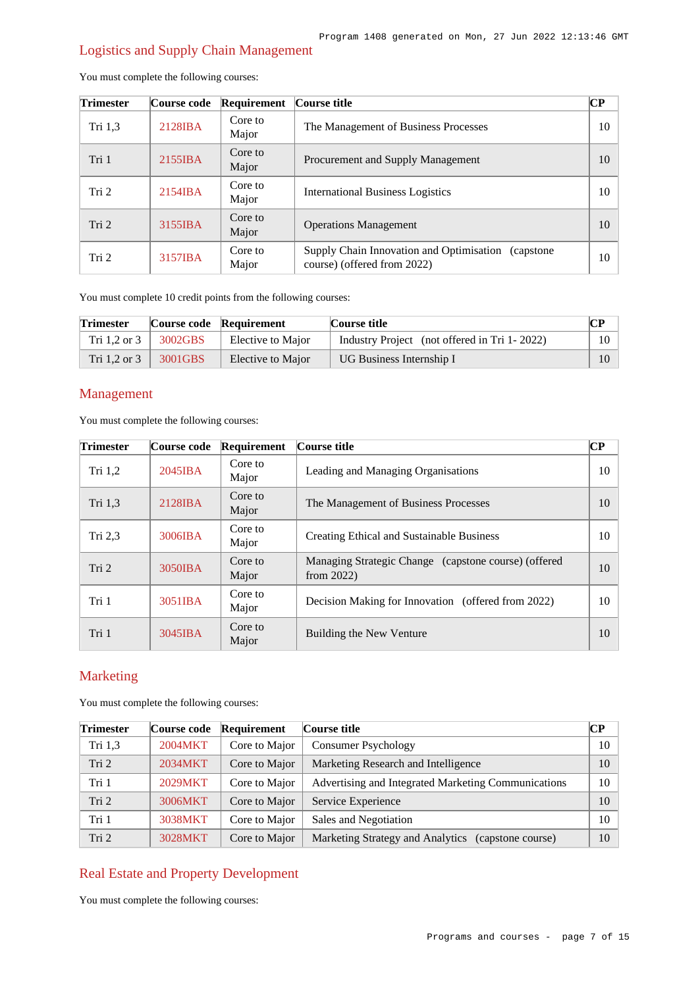## Logistics and Supply Chain Management

| <b>Trimester</b> | Course code | Requirement      | Course title                                                                          | $\overline{\mathbf{CP}}$ |
|------------------|-------------|------------------|---------------------------------------------------------------------------------------|--------------------------|
| Tri $1,3$        | 2128IBA     | Core to<br>Major | The Management of Business Processes                                                  | 10                       |
| Tri 1            | $2155$ IBA  | Core to<br>Major | Procurement and Supply Management                                                     | 10                       |
| Tri 2            | 2154IBA     | Core to<br>Major | <b>International Business Logistics</b>                                               | 10                       |
| Tri 2            | 3155IBA     | Core to<br>Major | <b>Operations Management</b>                                                          | 10                       |
| Tri 2            | 3157IBA     | Core to<br>Major | Supply Chain Innovation and Optimisation<br>(capstone)<br>course) (offered from 2022) | 10                       |

You must complete the following courses:

You must complete 10 credit points from the following courses:

| <b>Trimester</b> |         | Course code Requirement | Course title                                 | CР     |
|------------------|---------|-------------------------|----------------------------------------------|--------|
| Tri 1.2 or 3     | 3002GBS | Elective to Major       | Industry Project (not offered in Tri 1-2022) | $10-1$ |
| Tri 1.2 or 3     | 3001GBS | Elective to Major       | UG Business Internship I                     |        |

### Management

You must complete the following courses:

| Trimester | Course code       | Requirement      | Course title                                                          | $\bf CP$ |
|-----------|-------------------|------------------|-----------------------------------------------------------------------|----------|
| Tri $1,2$ | $2045$ <b>IBA</b> | Core to<br>Major | Leading and Managing Organisations                                    | 10       |
| Tri 1,3   | 2128IBA           | Core to<br>Major | The Management of Business Processes                                  | 10       |
| Tri $2,3$ | 3006IBA           | Core to<br>Major | Creating Ethical and Sustainable Business                             | 10       |
| Tri 2     | 3050IBA           | Core to<br>Major | Managing Strategic Change (capstone course) (offered<br>from $2022$ ) | 10       |
| Tri 1     | 3051IBA           | Core to<br>Major | Decision Making for Innovation (offered from 2022)                    | 10       |
| Tri 1     | $3045$ IBA        | Core to<br>Major | Building the New Venture                                              | 10       |

## Marketing

You must complete the following courses:

| <b>Trimester</b> | Course code | Requirement   | Course title                                        |    |
|------------------|-------------|---------------|-----------------------------------------------------|----|
| Tri 1,3          | 2004MKT     | Core to Major | <b>Consumer Psychology</b>                          | 10 |
| Tri 2            | 2034MKT     | Core to Major | Marketing Research and Intelligence                 |    |
| Tri 1            | 2029MKT     | Core to Major | Advertising and Integrated Marketing Communications | 10 |
| Tri 2            | 3006MKT     | Core to Major | Service Experience                                  | 10 |
| Tri 1            | 3038MKT     | Core to Major | Sales and Negotiation                               | 10 |
| Tri 2            | 3028MKT     | Core to Major | Marketing Strategy and Analytics (capstone course)  | 10 |

## Real Estate and Property Development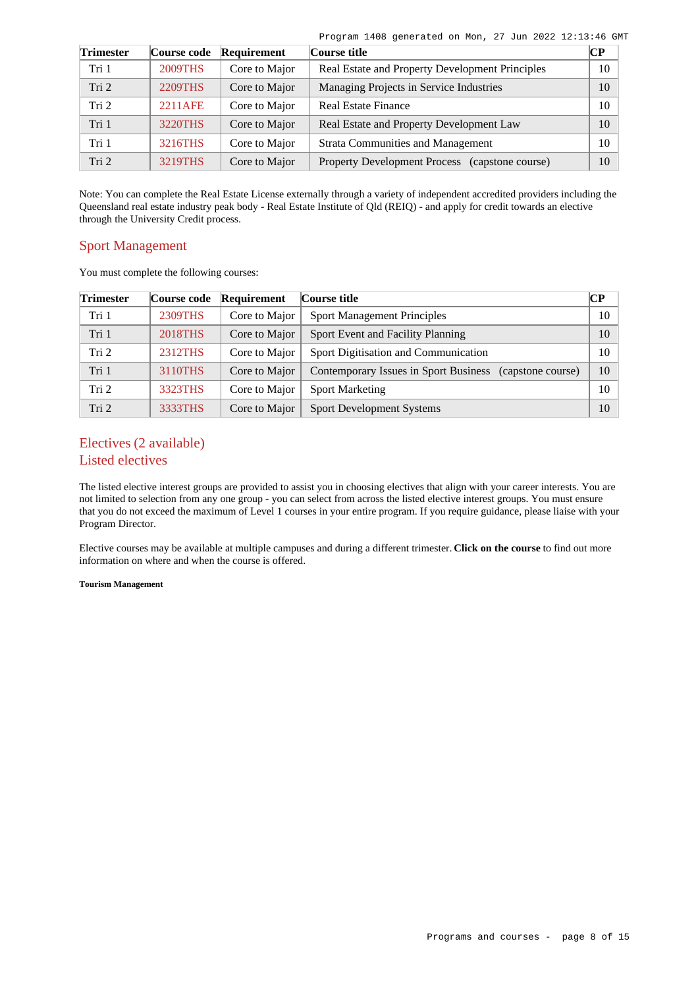|  | Program 1408 generated on Mon, 27 Jun 2022 12:13:46 GMT |  |  |  |  |  |
|--|---------------------------------------------------------|--|--|--|--|--|
|--|---------------------------------------------------------|--|--|--|--|--|

| <b>Trimester</b> | Course code    | Requirement   | Course title                                    | CР |
|------------------|----------------|---------------|-------------------------------------------------|----|
| Tri 1            | <b>2009THS</b> | Core to Major | Real Estate and Property Development Principles | 10 |
| Tri <sub>2</sub> | 2209THS        | Core to Major | Managing Projects in Service Industries         | 10 |
| Tri <sub>2</sub> | 2211AFE        | Core to Major | <b>Real Estate Finance</b>                      | 10 |
| Tri 1            | 3220THS        | Core to Major | Real Estate and Property Development Law        | 10 |
| Tri 1            | 3216THS        | Core to Major | <b>Strata Communities and Management</b>        | 10 |
| Tri <sub>2</sub> | <b>3219THS</b> | Core to Major | Property Development Process (capstone course)  | 10 |

Note: You can complete the Real Estate License externally through a variety of independent accredited providers including the Queensland real estate industry peak body - Real Estate Institute of Qld (REIQ) - and apply for credit towards an elective through the University Credit process.

### Sport Management

You must complete the following courses:

| <b>Trimester</b> | Course code | Requirement   | Course title                                               | CР |
|------------------|-------------|---------------|------------------------------------------------------------|----|
| Tri 1            | 2309THS     | Core to Major | <b>Sport Management Principles</b>                         | 10 |
| Tri 1            | 2018THS     | Core to Major | Sport Event and Facility Planning                          | 10 |
| Tri 2            | 2312THS     | Core to Major | Sport Digitisation and Communication                       | 10 |
| Tri 1            | 3110THS     | Core to Major | Contemporary Issues in Sport Business<br>(capstone course) | 10 |
| Tri 2            | 3323THS     | Core to Major | <b>Sport Marketing</b>                                     | 10 |
| Tri <sub>2</sub> | 3333THS     | Core to Major | <b>Sport Development Systems</b>                           | 10 |

## Electives (2 available) Listed electives

The listed elective interest groups are provided to assist you in choosing electives that align with your career interests. You are not limited to selection from any one group - you can select from across the listed elective interest groups. You must ensure that you do not exceed the maximum of Level 1 courses in your entire program. If you require guidance, please liaise with your Program Director.

Elective courses may be available at multiple campuses and during a different trimester. **Click on the course** to find out more information on where and when the course is offered.

### **Tourism Management**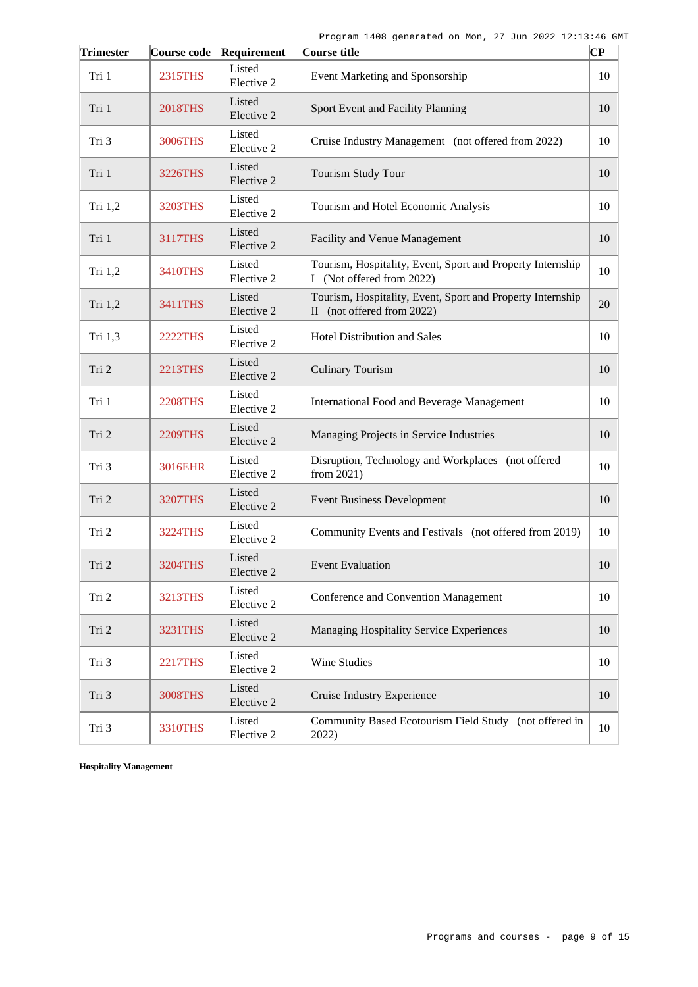| <b>Trimester</b> | Course code    | Requirement          | Course title                                                                             | $\overline{\mathbf{C}\mathbf{P}}$ |
|------------------|----------------|----------------------|------------------------------------------------------------------------------------------|-----------------------------------|
| Tri 1            | 2315THS        | Listed<br>Elective 2 | Event Marketing and Sponsorship                                                          | 10                                |
| Tri 1            | <b>2018THS</b> | Listed<br>Elective 2 | Sport Event and Facility Planning                                                        | 10                                |
| Tri 3            | 3006THS        | Listed<br>Elective 2 | Cruise Industry Management (not offered from 2022)                                       | 10                                |
| Tri 1            | 3226THS        | Listed<br>Elective 2 | Tourism Study Tour                                                                       | 10                                |
| Tri 1,2          | <b>3203THS</b> | Listed<br>Elective 2 | Tourism and Hotel Economic Analysis                                                      | 10                                |
| Tri 1            | 3117THS        | Listed<br>Elective 2 | Facility and Venue Management                                                            | 10                                |
| Tri 1,2          | 3410THS        | Listed<br>Elective 2 | Tourism, Hospitality, Event, Sport and Property Internship<br>I (Not offered from 2022)  | 10                                |
| Tri 1,2          | 3411THS        | Listed<br>Elective 2 | Tourism, Hospitality, Event, Sport and Property Internship<br>II (not offered from 2022) | 20                                |
| Tri 1,3          | <b>2222THS</b> | Listed<br>Elective 2 | Hotel Distribution and Sales                                                             | 10                                |
| Tri 2            | 2213THS        | Listed<br>Elective 2 | <b>Culinary Tourism</b>                                                                  | 10                                |
| Tri 1            | <b>2208THS</b> | Listed<br>Elective 2 | International Food and Beverage Management                                               | 10                                |
| Tri 2            | <b>2209THS</b> | Listed<br>Elective 2 | Managing Projects in Service Industries                                                  | 10                                |
| Tri 3            | 3016EHR        | Listed<br>Elective 2 | Disruption, Technology and Workplaces (not offered<br>from $2021$ )                      | 10                                |
| Tri 2            | <b>3207THS</b> | Listed<br>Elective 2 | <b>Event Business Development</b>                                                        | 10                                |
| Tri 2            | 3224THS        | Listed<br>Elective 2 | Community Events and Festivals (not offered from 2019)                                   | 10                                |
| Tri 2            | 3204THS        | Listed<br>Elective 2 | <b>Event Evaluation</b>                                                                  | 10                                |
| Tri 2            | 3213THS        | Listed<br>Elective 2 | Conference and Convention Management                                                     | 10                                |
| Tri 2            | 3231THS        | Listed<br>Elective 2 | Managing Hospitality Service Experiences                                                 | 10                                |
| Tri 3            | <b>2217THS</b> | Listed<br>Elective 2 | Wine Studies                                                                             | 10                                |
| Tri 3            | <b>3008THS</b> | Listed<br>Elective 2 | Cruise Industry Experience                                                               | 10                                |
| Tri 3            | <b>3310THS</b> | Listed<br>Elective 2 | Community Based Ecotourism Field Study (not offered in<br>2022)                          | 10                                |

**Hospitality Management**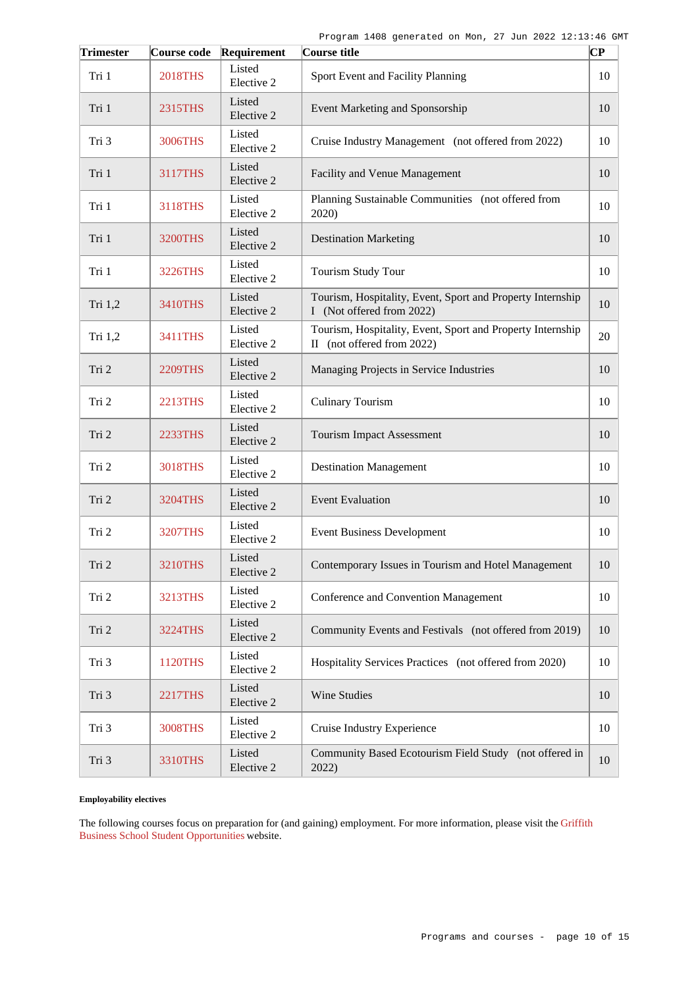| Trimester | Course code    | Requirement          | Course title                                                                             | $\overline{\mathbf{C}\mathbf{P}}$ |
|-----------|----------------|----------------------|------------------------------------------------------------------------------------------|-----------------------------------|
| Tri 1     | <b>2018THS</b> | Listed<br>Elective 2 | Sport Event and Facility Planning                                                        | 10                                |
| Tri 1     | 2315THS        | Listed<br>Elective 2 | Event Marketing and Sponsorship                                                          | 10                                |
| Tri 3     | 3006THS        | Listed<br>Elective 2 | Cruise Industry Management (not offered from 2022)                                       | 10                                |
| Tri 1     | 3117THS        | Listed<br>Elective 2 | Facility and Venue Management                                                            | 10                                |
| Tri 1     | 3118THS        | Listed<br>Elective 2 | Planning Sustainable Communities (not offered from<br>2020)                              | 10                                |
| Tri 1     | <b>3200THS</b> | Listed<br>Elective 2 | <b>Destination Marketing</b>                                                             | 10                                |
| Tri 1     | 3226THS        | Listed<br>Elective 2 | <b>Tourism Study Tour</b>                                                                | 10                                |
| Tri 1,2   | 3410THS        | Listed<br>Elective 2 | Tourism, Hospitality, Event, Sport and Property Internship<br>I (Not offered from 2022)  | 10                                |
| Tri 1,2   | <b>3411THS</b> | Listed<br>Elective 2 | Tourism, Hospitality, Event, Sport and Property Internship<br>II (not offered from 2022) | 20                                |
| Tri 2     | <b>2209THS</b> | Listed<br>Elective 2 | Managing Projects in Service Industries                                                  | 10                                |
| Tri 2     | 2213THS        | Listed<br>Elective 2 | <b>Culinary Tourism</b>                                                                  | 10                                |
| Tri 2     | 2233THS        | Listed<br>Elective 2 | <b>Tourism Impact Assessment</b>                                                         | 10                                |
| Tri 2     | <b>3018THS</b> | Listed<br>Elective 2 | <b>Destination Management</b>                                                            | 10                                |
| Tri 2     | <b>3204THS</b> | Listed<br>Elective 2 | <b>Event Evaluation</b>                                                                  | 10                                |
| Tri 2     | <b>3207THS</b> | Listed<br>Elective 2 | <b>Event Business Development</b>                                                        | 10                                |
| Tri 2     | 3210THS        | Listed<br>Elective 2 | Contemporary Issues in Tourism and Hotel Management                                      | 10                                |
| Tri 2     | <b>3213THS</b> | Listed<br>Elective 2 | Conference and Convention Management                                                     | 10                                |
| Tri 2     | 3224THS        | Listed<br>Elective 2 | Community Events and Festivals (not offered from 2019)                                   | 10                                |
| Tri 3     | 1120THS        | Listed<br>Elective 2 | Hospitality Services Practices (not offered from 2020)                                   | 10                                |
| Tri 3     | <b>2217THS</b> | Listed<br>Elective 2 | Wine Studies                                                                             | 10                                |
| Tri 3     | <b>3008THS</b> | Listed<br>Elective 2 | Cruise Industry Experience                                                               | 10                                |
| Tri 3     | 3310THS        | Listed<br>Elective 2 | Community Based Ecotourism Field Study (not offered in<br>2022)                          | 10                                |

### **Employability electives**

The following courses focus on preparation for (and gaining) employment. For more information, please visit the [Griffith](https://www.griffith.edu.au/griffith-business-school/student-opportunities) [Business School Student Opportunities](https://www.griffith.edu.au/griffith-business-school/student-opportunities) website.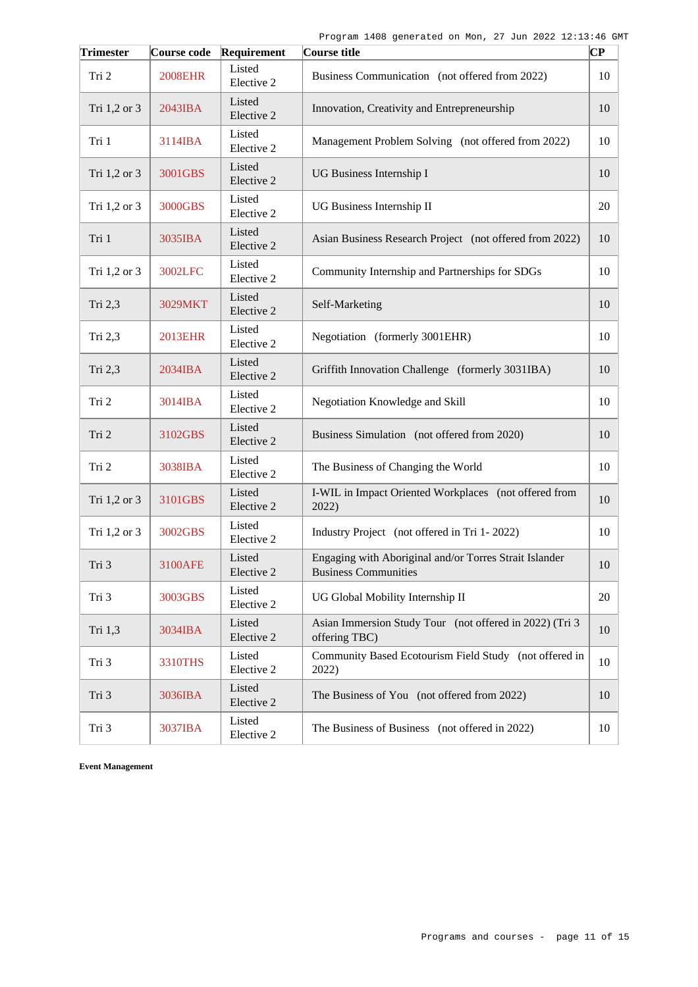| <b>Trimester</b> | Course code    | Requirement          | Course title                                                                          | $\overline{\mathbf{C}\mathbf{P}}$ |
|------------------|----------------|----------------------|---------------------------------------------------------------------------------------|-----------------------------------|
| Tri 2            | <b>2008EHR</b> | Listed<br>Elective 2 | Business Communication (not offered from 2022)                                        | 10                                |
| Tri 1,2 or 3     | 2043IBA        | Listed<br>Elective 2 | Innovation, Creativity and Entrepreneurship                                           | 10                                |
| Tri 1            | 3114IBA        | Listed<br>Elective 2 | Management Problem Solving (not offered from 2022)                                    | 10                                |
| Tri 1,2 or 3     | 3001GBS        | Listed<br>Elective 2 | UG Business Internship I                                                              | 10                                |
| Tri 1,2 or 3     | 3000GBS        | Listed<br>Elective 2 | UG Business Internship II                                                             | 20                                |
| Tri 1            | 3035IBA        | Listed<br>Elective 2 | Asian Business Research Project (not offered from 2022)                               | 10                                |
| Tri 1,2 or 3     | 3002LFC        | Listed<br>Elective 2 | Community Internship and Partnerships for SDGs                                        | 10                                |
| Tri 2,3          | 3029MKT        | Listed<br>Elective 2 | Self-Marketing                                                                        | 10                                |
| Tri 2,3          | 2013EHR        | Listed<br>Elective 2 | Negotiation (formerly 3001EHR)                                                        | 10                                |
| Tri 2,3          | 2034IBA        | Listed<br>Elective 2 | Griffith Innovation Challenge (formerly 3031IBA)                                      | 10                                |
| Tri 2            | 3014IBA        | Listed<br>Elective 2 | Negotiation Knowledge and Skill                                                       | 10                                |
| Tri 2            | 3102GBS        | Listed<br>Elective 2 | Business Simulation (not offered from 2020)                                           | 10                                |
| Tri 2            | 3038IBA        | Listed<br>Elective 2 | The Business of Changing the World                                                    | 10                                |
| Tri 1,2 or 3     | 3101GBS        | Listed<br>Elective 2 | I-WIL in Impact Oriented Workplaces (not offered from<br>2022)                        | 10                                |
| Tri 1,2 or 3     | 3002GBS        | Listed<br>Elective 2 | Industry Project (not offered in Tri 1-2022)                                          | 10                                |
| Tri 3            | 3100AFE        | Listed<br>Elective 2 | Engaging with Aboriginal and/or Torres Strait Islander<br><b>Business Communities</b> | 10                                |
| Tri 3            | 3003GBS        | Listed<br>Elective 2 | UG Global Mobility Internship II                                                      | 20                                |
| Tri 1,3          | 3034IBA        | Listed<br>Elective 2 | Asian Immersion Study Tour (not offered in 2022) (Tri 3<br>offering TBC)              | 10                                |
| Tri 3            | <b>3310THS</b> | Listed<br>Elective 2 | Community Based Ecotourism Field Study (not offered in<br>2022)                       | 10                                |
| Tri 3            | 3036IBA        | Listed<br>Elective 2 | The Business of You (not offered from 2022)                                           | 10                                |
| Tri 3            | 3037IBA        | Listed<br>Elective 2 | The Business of Business (not offered in 2022)                                        | 10                                |

**Event Management**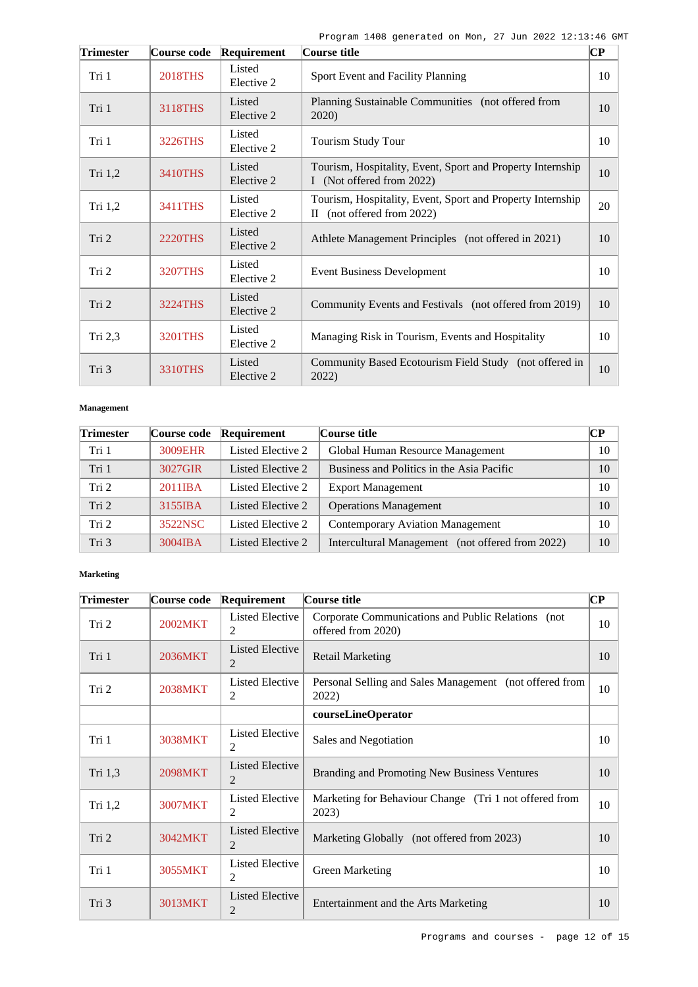| <b>Trimester</b> | Course code    | Requirement          | Course title                                                                             | $\overline{\mathbf{C}\mathbf{P}}$ |
|------------------|----------------|----------------------|------------------------------------------------------------------------------------------|-----------------------------------|
| Tri 1            | <b>2018THS</b> | Listed<br>Elective 2 | Sport Event and Facility Planning                                                        | 10                                |
| Tri 1            | 3118THS        | Listed<br>Elective 2 | Planning Sustainable Communities (not offered from<br>2020)                              | 10                                |
| Tri 1            | 3226THS        | Listed<br>Elective 2 | Tourism Study Tour                                                                       | 10                                |
| Tri 1,2          | 3410THS        | Listed<br>Elective 2 | Tourism, Hospitality, Event, Sport and Property Internship<br>I (Not offered from 2022)  | 10                                |
| Tri 1,2          | 3411THS        | Listed<br>Elective 2 | Tourism, Hospitality, Event, Sport and Property Internship<br>II (not offered from 2022) | 20                                |
| Tri 2            | 2220THS        | Listed<br>Elective 2 | Athlete Management Principles (not offered in 2021)                                      | 10                                |
| Tri 2            | <b>3207THS</b> | Listed<br>Elective 2 | <b>Event Business Development</b>                                                        | 10                                |
| Tri 2            | 3224THS        | Listed<br>Elective 2 | Community Events and Festivals (not offered from 2019)                                   | 10                                |
| Tri 2,3          | <b>3201THS</b> | Listed<br>Elective 2 | Managing Risk in Tourism, Events and Hospitality                                         | 10                                |
| Tri 3            | 3310THS        | Listed<br>Elective 2 | Community Based Ecotourism Field Study (not offered in<br>2022)                          | 10                                |

### **Management**

| <b>Trimester</b> | <b>Course code</b> | Requirement       | Course title                                     | <b>CP</b> |
|------------------|--------------------|-------------------|--------------------------------------------------|-----------|
| Tri 1            | 3009EHR            | Listed Elective 2 | Global Human Resource Management                 | 10        |
| Tri 1            | 3027GIR            | Listed Elective 2 | Business and Politics in the Asia Pacific        | 10        |
| Tri <sub>2</sub> | 2011IBA            | Listed Elective 2 | <b>Export Management</b>                         | 10        |
| Tri 2            | 3155IBA            | Listed Elective 2 | <b>Operations Management</b>                     | 10        |
| Tri 2            | 3522NSC            | Listed Elective 2 | <b>Contemporary Aviation Management</b>          | 10        |
| Tri 3            | $3004$ IBA         | Listed Elective 2 | Intercultural Management (not offered from 2022) | 10        |

### **Marketing**

| <b>Trimester</b> | Course code | Requirement                              | Course title                                                             | $\bf CP$ |
|------------------|-------------|------------------------------------------|--------------------------------------------------------------------------|----------|
| Tri 2            | 2002MKT     | Listed Elective<br>2                     | Corporate Communications and Public Relations (not<br>offered from 2020) | 10       |
| Tri 1            | 2036MKT     | <b>Listed Elective</b><br>$\overline{c}$ | <b>Retail Marketing</b>                                                  | 10       |
| Tri 2            | 2038MKT     | Listed Elective<br>2                     | Personal Selling and Sales Management (not offered from<br>2022)         | 10       |
|                  |             |                                          | courseLineOperator                                                       |          |
| Tri 1            | 3038MKT     | <b>Listed Elective</b><br>2              | Sales and Negotiation                                                    | 10       |
| Tri 1,3          | 2098MKT     | <b>Listed Elective</b><br>$\overline{c}$ | Branding and Promoting New Business Ventures                             | 10       |
| Tri $1,2$        | 3007MKT     | <b>Listed Elective</b><br>2              | Marketing for Behaviour Change (Tri 1 not offered from<br>2023)          | 10       |
| Tri 2            | 3042MKT     | <b>Listed Elective</b><br>$\overline{c}$ | Marketing Globally (not offered from 2023)                               | 10       |
| Tri 1            | 3055MKT     | <b>Listed Elective</b><br>2              | Green Marketing                                                          | 10       |
| Tri 3            | 3013MKT     | <b>Listed Elective</b><br>$\overline{2}$ | Entertainment and the Arts Marketing                                     | 10       |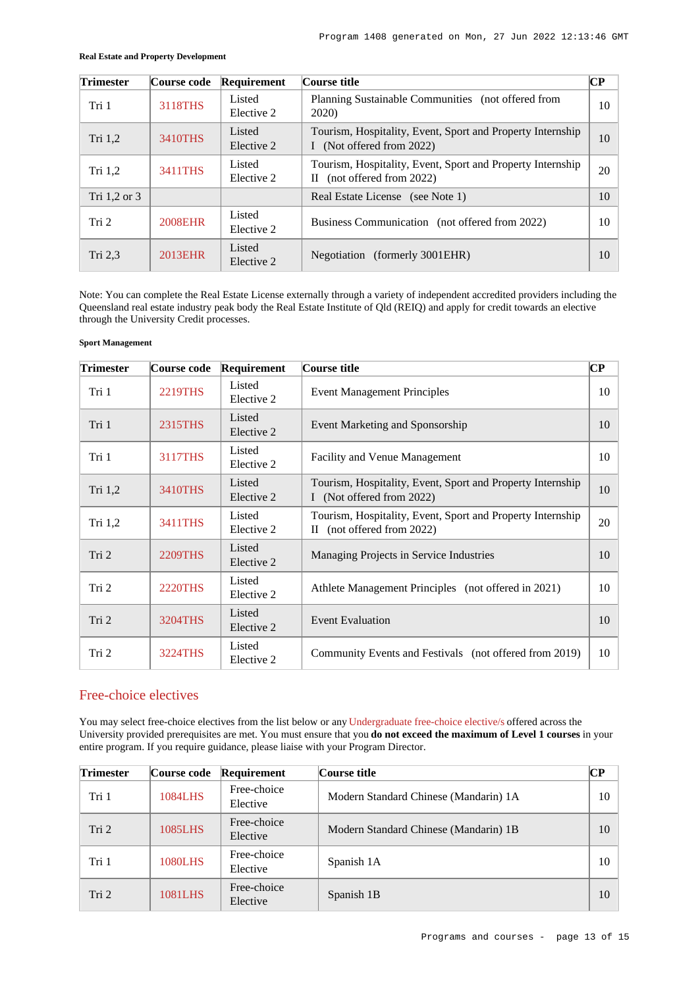| Trimester        | Course code | Requirement          | Course title                                                                                | CР |
|------------------|-------------|----------------------|---------------------------------------------------------------------------------------------|----|
| Tri 1            | 3118THS     | Listed<br>Elective 2 | Planning Sustainable Communities (not offered from<br><b>2020</b> )                         | 10 |
| Tri 1,2          | 3410THS     | Listed<br>Elective 2 | Tourism, Hospitality, Event, Sport and Property Internship<br>I (Not offered from 2022)     | 10 |
| Tri $1,2$        | 3411THS     | Listed<br>Elective 2 | Tourism, Hospitality, Event, Sport and Property Internship<br>(not offered from 2022)<br>Н. | 20 |
| Tri 1,2 or 3     |             |                      | Real Estate License (see Note 1)                                                            | 10 |
| Tri <sub>2</sub> | 2008EHR     | Listed<br>Elective 2 | Business Communication (not offered from 2022)                                              | 10 |
| Tri 2,3          | 2013EHR     | Listed<br>Elective 2 | Negotiation (formerly 3001EHR)                                                              | 10 |

#### **Real Estate and Property Development**

Note: You can complete the Real Estate License externally through a variety of independent accredited providers including the Queensland real estate industry peak body the Real Estate Institute of Qld (REIQ) and apply for credit towards an elective through the University Credit processes.

### **Sport Management**

| <b>Trimester</b> | Course code    | Requirement          | Course title                                                                             | $\bf CP$ |
|------------------|----------------|----------------------|------------------------------------------------------------------------------------------|----------|
| Tri 1            | <b>2219THS</b> | Listed<br>Elective 2 | <b>Event Management Principles</b>                                                       | 10       |
| Tri 1            | 2315THS        | Listed<br>Elective 2 | Event Marketing and Sponsorship                                                          | 10       |
| Tri 1            | 3117THS        | Listed<br>Elective 2 | <b>Facility and Venue Management</b>                                                     | 10       |
| Tri 1,2          | 3410THS        | Listed<br>Elective 2 | Tourism, Hospitality, Event, Sport and Property Internship<br>I (Not offered from 2022)  | 10       |
| Tri 1,2          | 3411THS        | Listed<br>Elective 2 | Tourism, Hospitality, Event, Sport and Property Internship<br>II (not offered from 2022) | 20       |
| Tri 2            | 2209THS        | Listed<br>Elective 2 | Managing Projects in Service Industries                                                  | 10       |
| Tri 2            | <b>2220THS</b> | Listed<br>Elective 2 | Athlete Management Principles (not offered in 2021)                                      | 10       |
| Tri 2            | 3204THS        | Listed<br>Elective 2 | <b>Event Evaluation</b>                                                                  | 10       |
| Tri 2            | 3224THS        | Listed<br>Elective 2 | Community Events and Festivals (not offered from 2019)                                   | 10       |

## Free-choice electives

You may select free-choice electives from the list below or any [Undergraduate free-choice elective/s](https://www148.griffith.edu.au/programs-courses/Search/Results?SearchRequestType=CourseCatalogue&AcademicCareerName=UGRD&IsFreeChoiceElective=True) offered across the University provided prerequisites are met. You must ensure that you **do not exceed the maximum of Level 1 courses** in your entire program. If you require guidance, please liaise with your Program Director.

| <b>Trimester</b> | Course code    | Requirement             | Course title                          | $\bf CP$ |
|------------------|----------------|-------------------------|---------------------------------------|----------|
| Tri 1            | 1084LHS        | Free-choice<br>Elective | Modern Standard Chinese (Mandarin) 1A | 10       |
| Tri <sub>2</sub> | 1085LHS        | Free-choice<br>Elective | Modern Standard Chinese (Mandarin) 1B | 10       |
| Tri 1            | <b>1080LHS</b> | Free-choice<br>Elective | Spanish 1A                            | 10       |
| Tri <sub>2</sub> | 1081LHS        | Free-choice<br>Elective | Spanish 1B                            | 10       |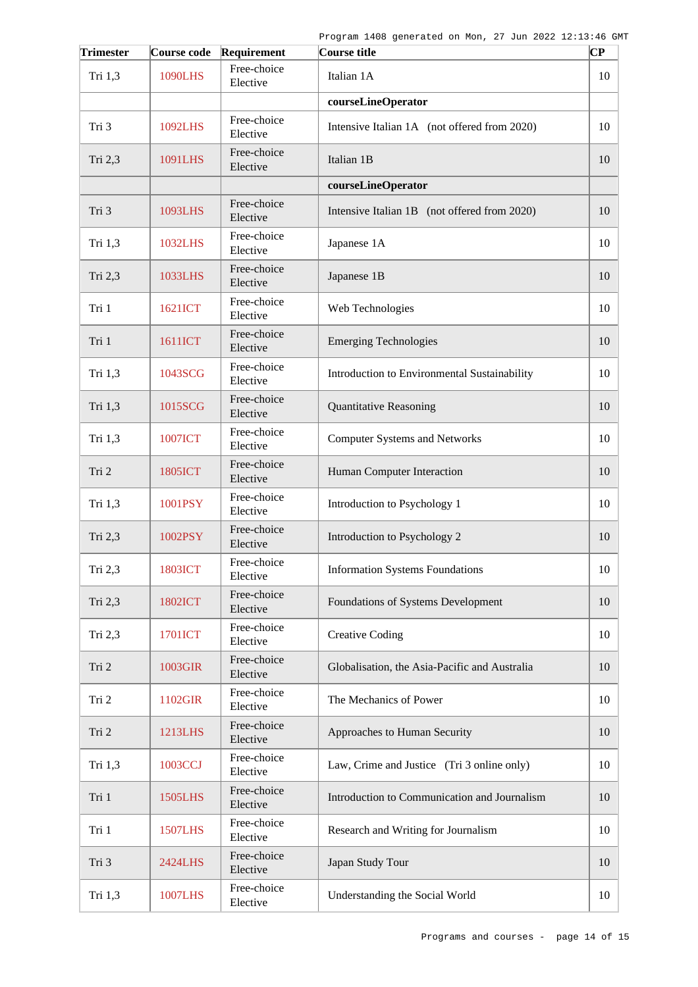| <b>Trimester</b> | Course code    | Requirement             | Course title                                  | CP |
|------------------|----------------|-------------------------|-----------------------------------------------|----|
| Tri 1,3          | <b>1090LHS</b> | Free-choice<br>Elective | Italian 1A                                    | 10 |
|                  |                |                         | courseLineOperator                            |    |
| Tri 3            | 1092LHS        | Free-choice<br>Elective | Intensive Italian 1A (not offered from 2020)  | 10 |
| Tri 2,3          | 1091LHS        | Free-choice<br>Elective | Italian 1B                                    | 10 |
|                  |                |                         | courseLineOperator                            |    |
| Tri 3            | 1093LHS        | Free-choice<br>Elective | Intensive Italian 1B (not offered from 2020)  | 10 |
| Tri 1,3          | 1032LHS        | Free-choice<br>Elective | Japanese 1A                                   | 10 |
| Tri 2,3          | 1033LHS        | Free-choice<br>Elective | Japanese 1B                                   | 10 |
| Tri 1            | 1621ICT        | Free-choice<br>Elective | Web Technologies                              | 10 |
| Tri 1            | 1611ICT        | Free-choice<br>Elective | <b>Emerging Technologies</b>                  | 10 |
| Tri 1,3          | 1043SCG        | Free-choice<br>Elective | Introduction to Environmental Sustainability  | 10 |
| Tri 1,3          | 1015SCG        | Free-choice<br>Elective | <b>Quantitative Reasoning</b>                 | 10 |
| Tri 1,3          | <b>1007ICT</b> | Free-choice<br>Elective | <b>Computer Systems and Networks</b>          | 10 |
| Tri 2            | 1805ICT        | Free-choice<br>Elective | Human Computer Interaction                    | 10 |
| Tri 1,3          | 1001PSY        | Free-choice<br>Elective | Introduction to Psychology 1                  | 10 |
| Tri 2,3          | 1002PSY        | Free-choice<br>Elective | Introduction to Psychology 2                  | 10 |
| Tri 2,3          | 1803ICT        | Free-choice<br>Elective | <b>Information Systems Foundations</b>        | 10 |
| Tri 2,3          | <b>1802ICT</b> | Free-choice<br>Elective | Foundations of Systems Development            | 10 |
| Tri 2,3          | 1701ICT        | Free-choice<br>Elective | <b>Creative Coding</b>                        | 10 |
| Tri 2            | 1003GIR        | Free-choice<br>Elective | Globalisation, the Asia-Pacific and Australia | 10 |
| Tri 2            | 1102GIR        | Free-choice<br>Elective | The Mechanics of Power                        | 10 |
| Tri 2            | 1213LHS        | Free-choice<br>Elective | Approaches to Human Security                  | 10 |
| Tri 1,3          | 1003CCJ        | Free-choice<br>Elective | Law, Crime and Justice (Tri 3 online only)    | 10 |
| Tri 1            | 1505LHS        | Free-choice<br>Elective | Introduction to Communication and Journalism  | 10 |
| Tri 1            | <b>1507LHS</b> | Free-choice<br>Elective | Research and Writing for Journalism           | 10 |
| Tri 3            | 2424LHS        | Free-choice<br>Elective | Japan Study Tour                              | 10 |
| Tri 1,3          | <b>1007LHS</b> | Free-choice<br>Elective | Understanding the Social World                | 10 |